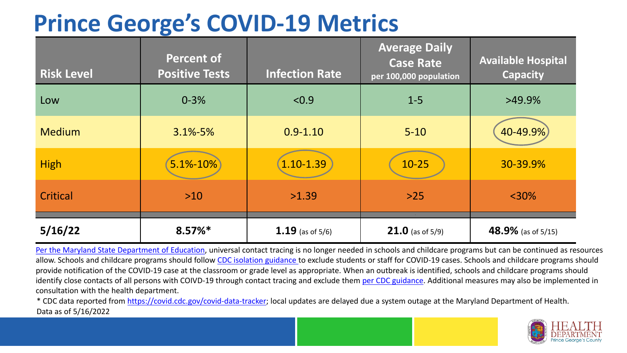### **Prince George's COVID-19 Metrics**

| <b>Risk Level</b> | <b>Percent of</b><br><b>Positive Tests</b> | <b>Infection Rate</b> | <b>Average Daily</b><br><b>Case Rate</b><br>per 100,000 population | <b>Available Hospital</b><br><b>Capacity</b> |
|-------------------|--------------------------------------------|-----------------------|--------------------------------------------------------------------|----------------------------------------------|
| Low               | $0 - 3%$                                   | < 0.9                 | $1 - 5$                                                            | $>49.9\%$                                    |
| <b>Medium</b>     | $3.1\% - 5\%$                              | $0.9 - 1.10$          | $5 - 10$                                                           | 40-49.9%                                     |
| <b>High</b>       | 5.1%-10%                                   | $1.10 - 1.39$         | $10 - 25$                                                          | 30-39.9%                                     |
| Critical          | $>10$                                      | >1.39                 | $>25$                                                              | $<$ 30%                                      |
| 5/16/22           | $8.57\%*$                                  | 1.19 (as of $5/6$ )   | <b>21.0</b> (as of $5/9$ )                                         | 48.9% (as of 5/15)                           |

[Per the Maryland State Department of Education,](https://earlychildhood.marylandpublicschools.org/system/files/filedepot/3/covid_guidance_full_080420.pdf) universal contact tracing is no longer needed in schools and childcare programs but can be continued as resources allow. Schools and childcare programs should follow [CDC isolation guidance t](https://www.cdc.gov/coronavirus/2019-ncov/community/schools-childcare/k-12-contact-tracing/about-isolation.html)o exclude students or staff for COVID-19 cases. Schools and childcare programs should provide notification of the COVID-19 case at the classroom or grade level as appropriate. When an outbreak is identified, schools and childcare programs should identify close contacts of all persons with COIVD-19 through contact tracing and exclude them [per CDC guidance](https://www.cdc.gov/coronavirus/2019-ncov/your-health/quarantine-isolation.html). Additional measures may also be implemented in consultation with the health department.

\* CDC data reported from [https://covid.cdc.gov/covid-data-tracker;](https://covid.cdc.gov/covid-data-tracker) local updates are delayed due a system outage at the Maryland Department of Health. Data as of 5/16/2022

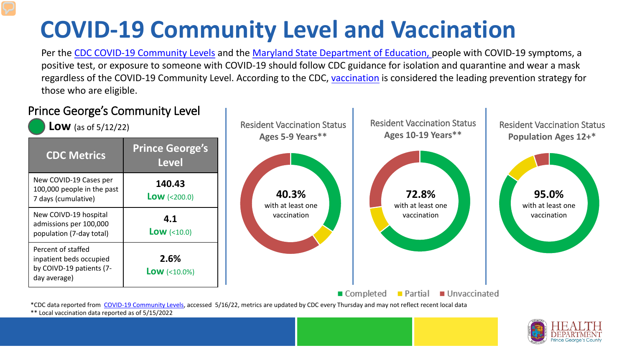# **COVID-19 Community Level and Vaccination**

Per the [CDC COVID-19 Community Levels](https://www.cdc.gov/coronavirus/2019-ncov/science/community-levels.html#anchor_82254) and the [Maryland State Department of Education,](https://earlychildhood.marylandpublicschools.org/system/files/filedepot/3/covid_guidance_full_080420.pdf) people with COVID-19 symptoms, a positive test, or exposure to someone with COVID-19 should follow CDC guidance for isolation and quarantine and wear a mask regardless of the COVID-19 Community Level. According to the CDC, [vaccination](https://www.cdc.gov/coronavirus/2019-ncov/prevent-getting-sick/prevention.html) is considered the leading prevention strategy for those who are eligible.



\*\* Local vaccination data reported as of 5/15/2022

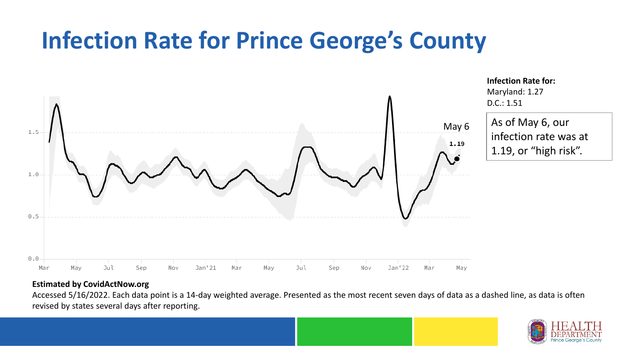### **Infection Rate for Prince George's County**



**Infection Rate for:**  Maryland: 1.27 D.C.: 1.51

As of May 6, our infection rate was at 1.19, or "high risk".

#### **Estimated by CovidActNow.org**

Accessed 5/16/2022. Each data point is a 14-day weighted average. Presented as the most recent seven days of data as a dashed line, as data is often revised by states several days after reporting.

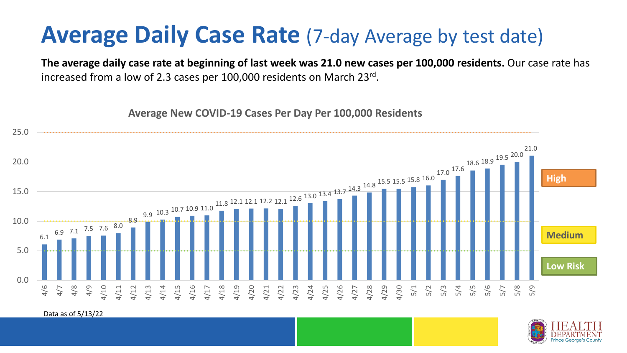### **Average Daily Case Rate** (7-day Average by test date)

**The average daily case rate at beginning of last week was 21.0 new cases per 100,000 residents.** Our case rate has increased from a low of 2.3 cases per 100,000 residents on March 23rd.

**Average New COVID-19 Cases Per Day Per 100,000 Residents**



Data as of 5/13/22